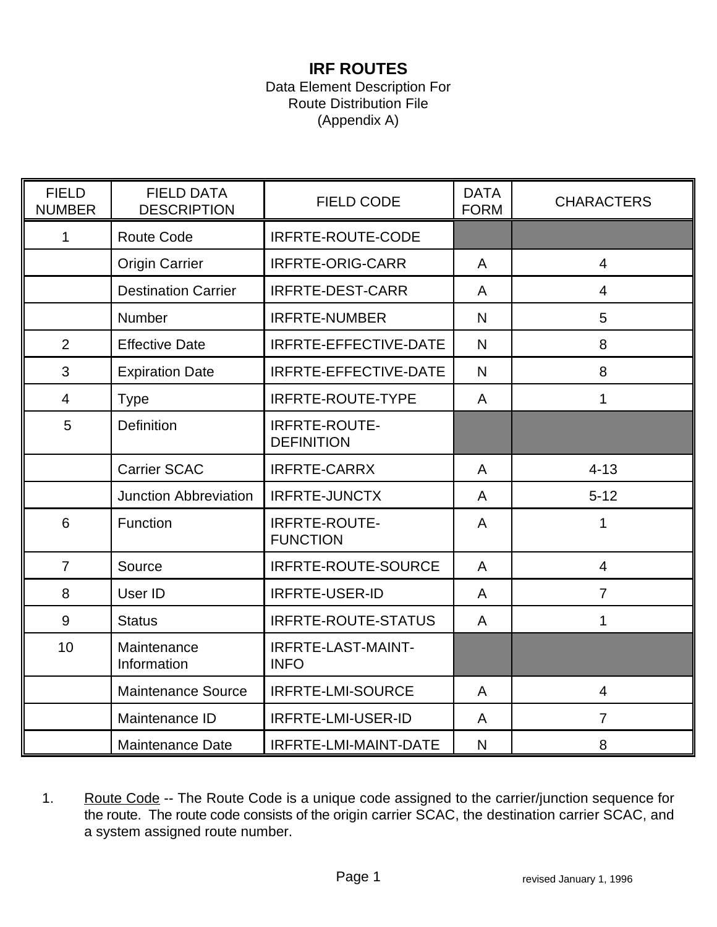## **IRF ROUTES**

## Data Element Description For Route Distribution File (Appendix A)

| <b>FIELD</b><br><b>NUMBER</b> | <b>FIELD DATA</b><br><b>DESCRIPTION</b> | <b>FIELD CODE</b>                         | <b>DATA</b><br><b>FORM</b> | <b>CHARACTERS</b> |
|-------------------------------|-----------------------------------------|-------------------------------------------|----------------------------|-------------------|
| 1                             | Route Code                              | <b>IRFRTE-ROUTE-CODE</b>                  |                            |                   |
|                               | <b>Origin Carrier</b>                   | <b>IRFRTE-ORIG-CARR</b>                   | A                          | $\overline{4}$    |
|                               | <b>Destination Carrier</b>              | <b>IRFRTE-DEST-CARR</b>                   | A                          | $\overline{4}$    |
|                               | <b>Number</b>                           | <b>IRFRTE-NUMBER</b>                      | N                          | 5                 |
| $\overline{2}$                | <b>Effective Date</b>                   | IRFRTE-EFFECTIVE-DATE                     | N                          | 8                 |
| 3                             | <b>Expiration Date</b>                  | IRFRTE-EFFECTIVE-DATE                     | N                          | 8                 |
| $\overline{\mathcal{A}}$      | <b>Type</b>                             | <b>IRFRTE-ROUTE-TYPE</b>                  | A                          | 1                 |
| 5                             | <b>Definition</b>                       | <b>IRFRTE-ROUTE-</b><br><b>DEFINITION</b> |                            |                   |
|                               | <b>Carrier SCAC</b>                     | <b>IRFRTE-CARRX</b>                       | A                          | $4 - 13$          |
|                               | <b>Junction Abbreviation</b>            | <b>IRFRTE-JUNCTX</b>                      | A                          | $5 - 12$          |
| 6                             | Function                                | <b>IRFRTE-ROUTE-</b><br><b>FUNCTION</b>   | A                          | 1                 |
| $\overline{7}$                | Source                                  | <b>IRFRTE-ROUTE-SOURCE</b>                | A                          | $\overline{4}$    |
| 8                             | User ID                                 | <b>IRFRTE-USER-ID</b>                     | A                          | $\overline{7}$    |
| 9                             | <b>Status</b>                           | IRFRTE-ROUTE-STATUS                       | A                          | 1                 |
| 10                            | Maintenance<br>Information              | <b>IRFRTE-LAST-MAINT-</b><br><b>INFO</b>  |                            |                   |
|                               | <b>Maintenance Source</b>               | <b>IRFRTE-LMI-SOURCE</b>                  | A                          | $\overline{4}$    |
|                               | Maintenance ID                          | IRFRTE-LMI-USER-ID                        | A                          | $\overline{7}$    |
|                               | <b>Maintenance Date</b>                 | IRFRTE-LMI-MAINT-DATE                     | N                          | 8                 |

1. Route Code -- The Route Code is a unique code assigned to the carrier/junction sequence for the route. The route code consists of the origin carrier SCAC, the destination carrier SCAC, and a system assigned route number.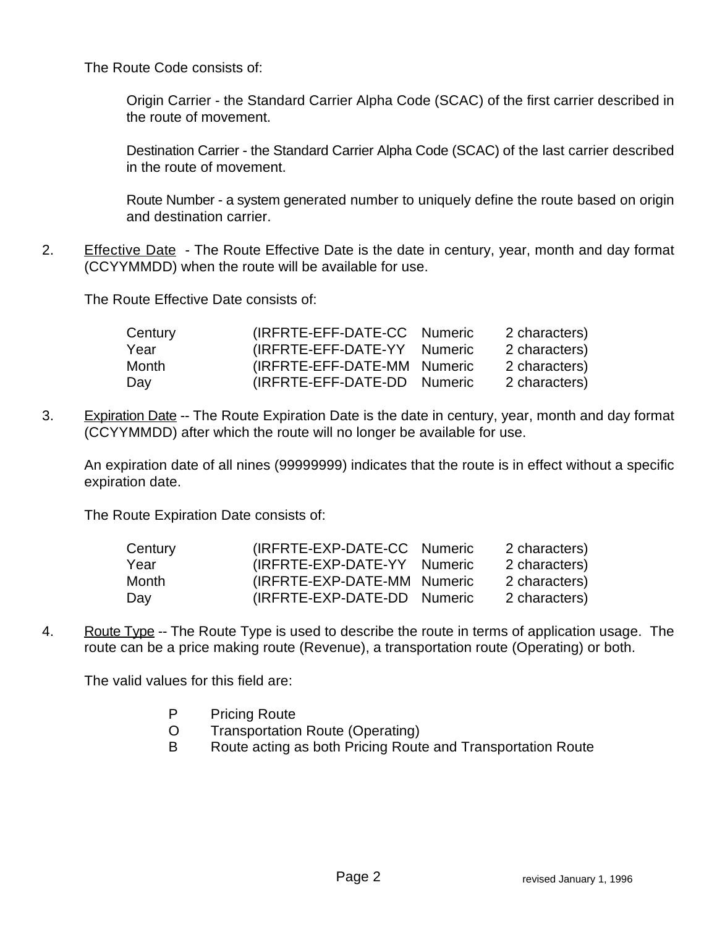The Route Code consists of:

Origin Carrier - the Standard Carrier Alpha Code (SCAC) of the first carrier described in the route of movement.

Destination Carrier - the Standard Carrier Alpha Code (SCAC) of the last carrier described in the route of movement.

Route Number - a system generated number to uniquely define the route based on origin and destination carrier.

2. Effective Date - The Route Effective Date is the date in century, year, month and day format (CCYYMMDD) when the route will be available for use.

The Route Effective Date consists of:

| Century | (IRFRTE-EFF-DATE-CC Numeric | 2 characters) |
|---------|-----------------------------|---------------|
| Year    | (IRFRTE-EFF-DATE-YY Numeric | 2 characters) |
| Month   | (IRFRTE-EFF-DATE-MM Numeric | 2 characters) |
| Day     | (IRFRTE-EFF-DATE-DD Numeric | 2 characters) |

3. Expiration Date -- The Route Expiration Date is the date in century, year, month and day format (CCYYMMDD) after which the route will no longer be available for use.

An expiration date of all nines (99999999) indicates that the route is in effect without a specific expiration date.

The Route Expiration Date consists of:

| Century | (IRFRTE-EXP-DATE-CC Numeric | 2 characters) |
|---------|-----------------------------|---------------|
| Year    | (IRFRTE-EXP-DATE-YY Numeric | 2 characters) |
| Month   | (IRFRTE-EXP-DATE-MM Numeric | 2 characters) |
| Day     | (IRFRTE-EXP-DATE-DD Numeric | 2 characters) |

4. Route Type -- The Route Type is used to describe the route in terms of application usage. The route can be a price making route (Revenue), a transportation route (Operating) or both.

The valid values for this field are:

- P Pricing Route
- O Transportation Route (Operating)
- B Route acting as both Pricing Route and Transportation Route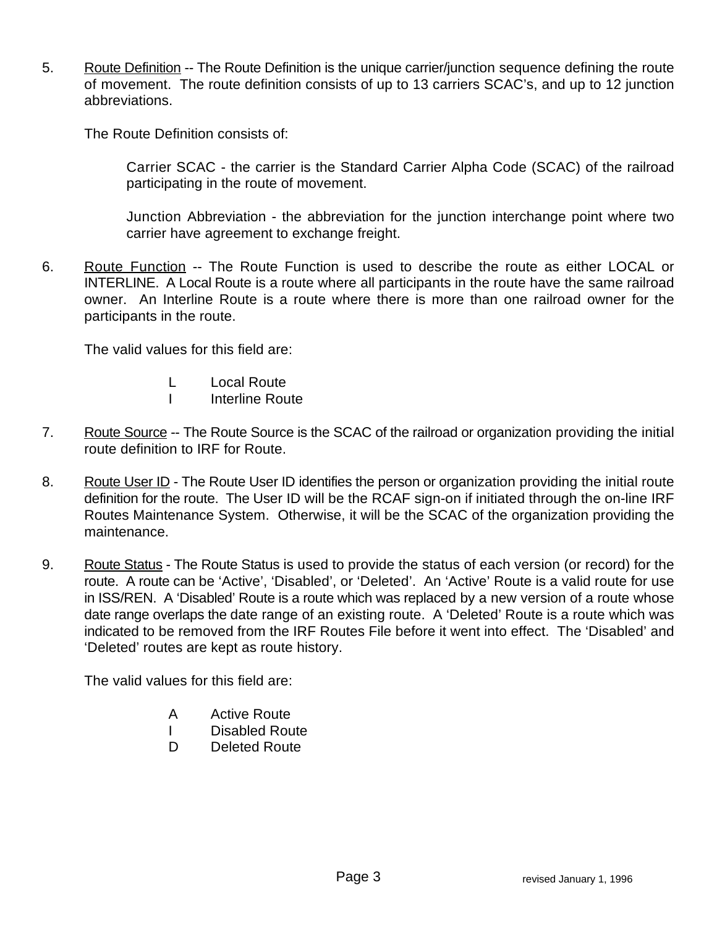5. Route Definition -- The Route Definition is the unique carrier/junction sequence defining the route of movement. The route definition consists of up to 13 carriers SCAC's, and up to 12 junction abbreviations.

The Route Definition consists of:

Carrier SCAC - the carrier is the Standard Carrier Alpha Code (SCAC) of the railroad participating in the route of movement.

Junction Abbreviation - the abbreviation for the junction interchange point where two carrier have agreement to exchange freight.

6. Route Function -- The Route Function is used to describe the route as either LOCAL or INTERLINE. A Local Route is a route where all participants in the route have the same railroad owner. An Interline Route is a route where there is more than one railroad owner for the participants in the route.

The valid values for this field are:

- L Local Route
- I Interline Route
- 7. Route Source -- The Route Source is the SCAC of the railroad or organization providing the initial route definition to IRF for Route.
- 8. Route User ID The Route User ID identifies the person or organization providing the initial route definition for the route. The User ID will be the RCAF sign-on if initiated through the on-line IRF Routes Maintenance System. Otherwise, it will be the SCAC of the organization providing the maintenance.
- 9. Route Status The Route Status is used to provide the status of each version (or record) for the route. A route can be 'Active', 'Disabled', or 'Deleted'. An 'Active' Route is a valid route for use in ISS/REN. A 'Disabled' Route is a route which was replaced by a new version of a route whose date range overlaps the date range of an existing route. A 'Deleted' Route is a route which was indicated to be removed from the IRF Routes File before it went into effect. The 'Disabled' and 'Deleted' routes are kept as route history.

The valid values for this field are:

- A Active Route
- I Disabled Route
- D Deleted Route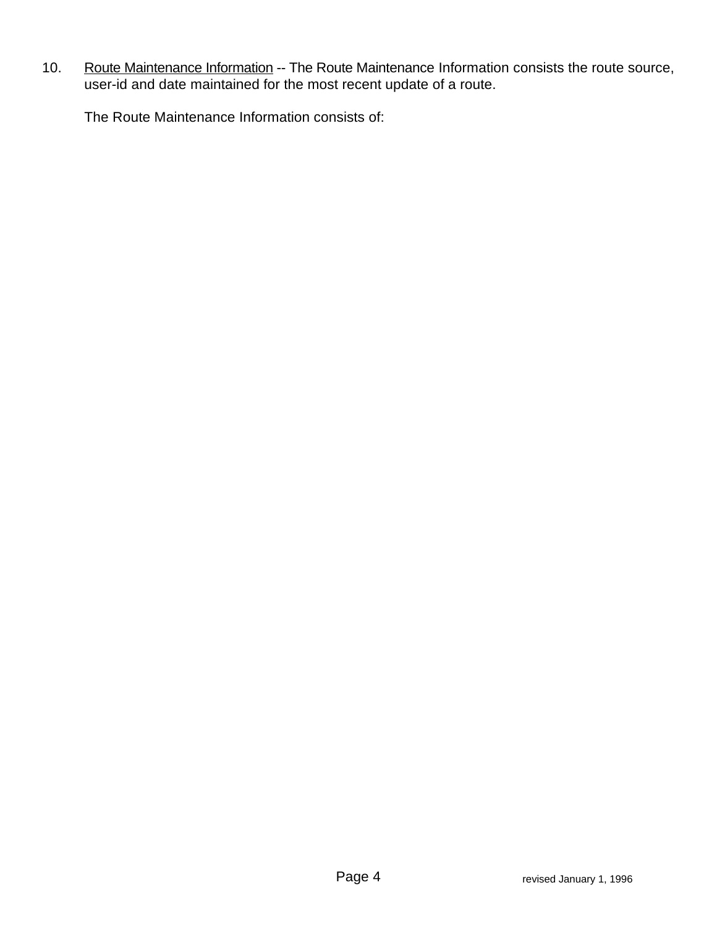10. Route Maintenance Information -- The Route Maintenance Information consists the route source, user-id and date maintained for the most recent update of a route.

The Route Maintenance Information consists of: